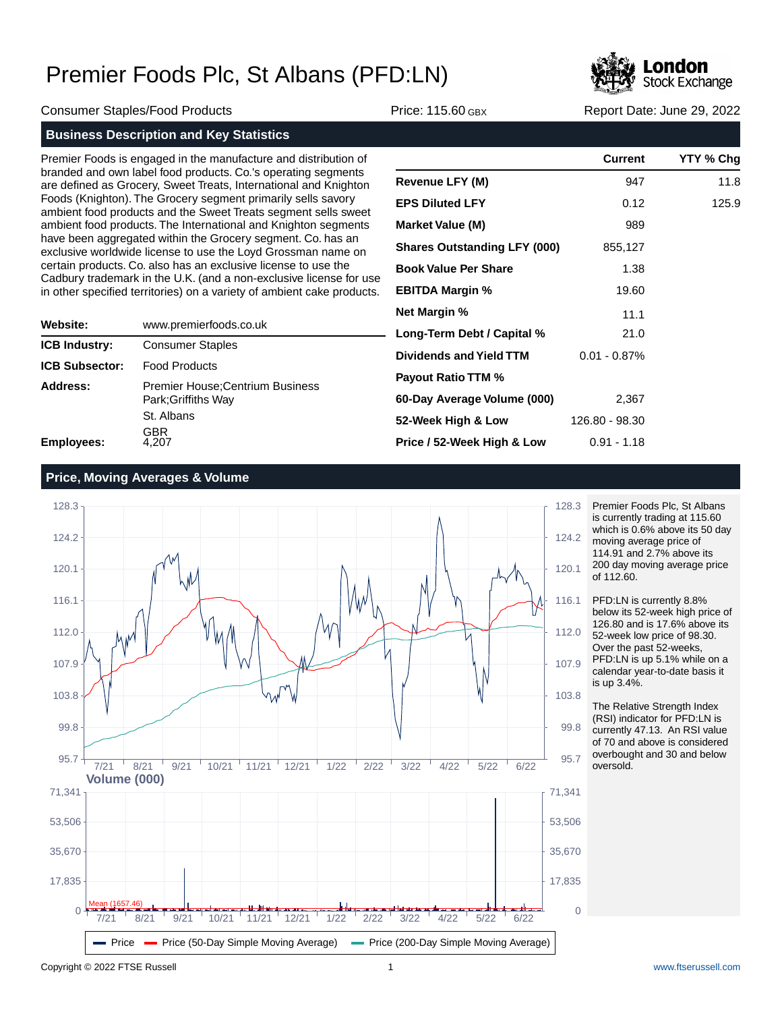

Consumer Staples/Food Products Price: 115.60 GBX Report Date: June 29, 2022

**Business Description and Key Statistics**

Premier Foods is engaged in the manufacture and distribution of branded and own label food products. Co.'s operating segments are defined as Grocery, Sweet Treats, International and Knighton Foods (Knighton). The Grocery segment primarily sells savory ambient food products and the Sweet Treats segment sells sweet ambient food products. The International and Knighton segments have been aggregated within the Grocery segment. Co. has an exclusive worldwide license to use the Loyd Grossman name on certain products. Co. also has an exclusive license to use the Cadbury trademark in the U.K. (and a non-exclusive license for use in other specified territories) on a variety of ambient cake products.

| Website:              | www.premierfoods.co.uk                                         |
|-----------------------|----------------------------------------------------------------|
| <b>ICB Industry:</b>  | <b>Consumer Staples</b>                                        |
| <b>ICB Subsector:</b> | <b>Food Products</b>                                           |
| Address:              | <b>Premier House: Centrium Business</b><br>Park: Griffiths Way |
|                       | St. Albans                                                     |
| Employees:            | GBR<br>4.207                                                   |

|                                     | <b>Current</b>  | YTY % Chg |
|-------------------------------------|-----------------|-----------|
| <b>Revenue LFY (M)</b>              | 947             | 11.8      |
| <b>EPS Diluted LFY</b>              | 0.12            | 125.9     |
| <b>Market Value (M)</b>             | 989             |           |
| <b>Shares Outstanding LFY (000)</b> | 855,127         |           |
| <b>Book Value Per Share</b>         | 1.38            |           |
| <b>EBITDA Margin %</b>              | 19.60           |           |
| <b>Net Margin %</b>                 | 11.1            |           |
| Long-Term Debt / Capital %          | 21.0            |           |
| Dividends and Yield TTM             | $0.01 - 0.87\%$ |           |
| <b>Payout Ratio TTM %</b>           |                 |           |
| 60-Day Average Volume (000)         | 2,367           |           |
| 52-Week High & Low                  | 126.80 - 98.30  |           |
| Price / 52-Week High & Low          | $0.91 - 1.18$   |           |

## **Price, Moving Averages & Volume**



Premier Foods Plc, St Albans is currently trading at 115.60 which is 0.6% above its 50 day moving average price of 114.91 and 2.7% above its 200 day moving average price of 112.60.

PFD:LN is currently 8.8% below its 52-week high price of 126.80 and is 17.6% above its 52-week low price of 98.30. Over the past 52-weeks, PFD:LN is up 5.1% while on a calendar year-to-date basis it is up 3.4%.

The Relative Strength Index (RSI) indicator for PFD:LN is currently 47.13. An RSI value of 70 and above is considered overbought and 30 and below oversold.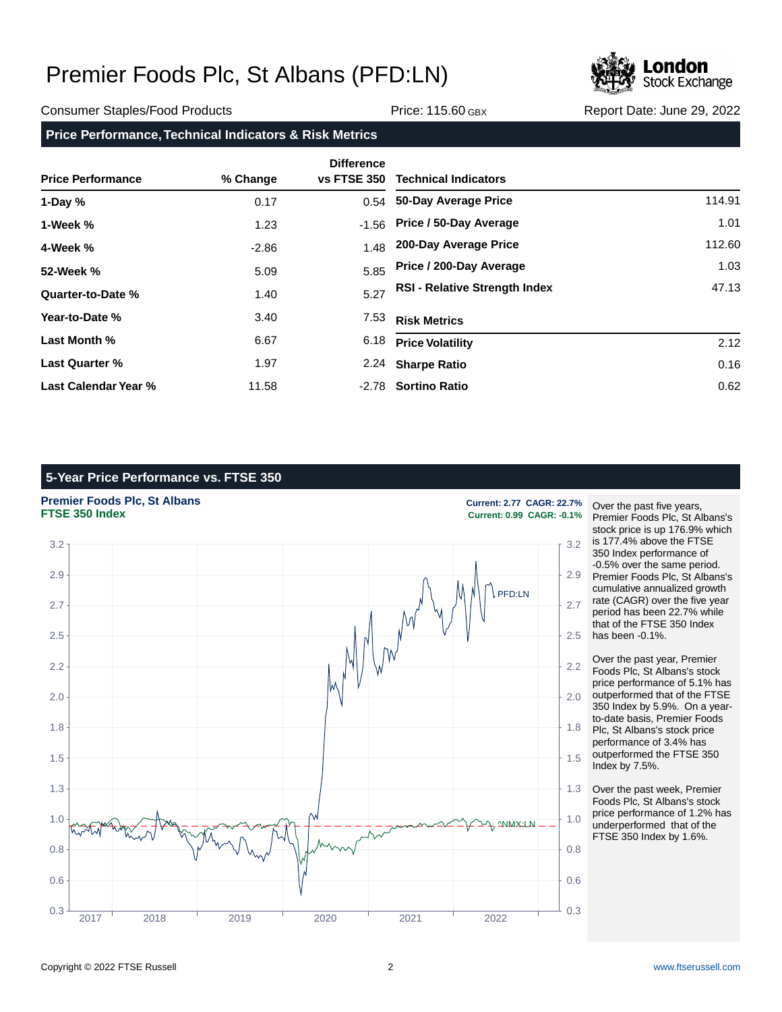

Consumer Staples/Food Products Price: 115.60 GBX Report Date: June 29, 2022

**Price Performance, Technical Indicators & Risk Metrics**

| <b>Price Performance</b> | % Change | <b>Difference</b><br><b>vs FTSE 350</b> | <b>Technical Indicators</b>          |        |
|--------------------------|----------|-----------------------------------------|--------------------------------------|--------|
| 1-Day $%$                | 0.17     |                                         | 0.54 50-Day Average Price            | 114.91 |
| 1-Week %                 | 1.23     | $-1.56$                                 | Price / 50-Day Average               | 1.01   |
| 4-Week %                 | $-2.86$  | 1.48                                    | 200-Day Average Price                | 112.60 |
| 52-Week %                | 5.09     | 5.85                                    | Price / 200-Day Average              | 1.03   |
| Quarter-to-Date %        | 1.40     | 5.27                                    | <b>RSI - Relative Strength Index</b> | 47.13  |
| Year-to-Date %           | 3.40     | 7.53                                    | <b>Risk Metrics</b>                  |        |
| Last Month %             | 6.67     | 6.18                                    | <b>Price Volatility</b>              | 2.12   |
| Last Quarter %           | 1.97     | 2.24                                    | <b>Sharpe Ratio</b>                  | 0.16   |
| Last Calendar Year %     | 11.58    |                                         | -2.78 Sortino Ratio                  | 0.62   |

## **5-Year Price Performance vs. FTSE 350**

**Premier Foods Plc, St Albans Current: 2.77 CAGR: 22.7%**<br> **FTSE 350 Index Current: 0.99 CAGR: -0.1%**  $0.3 \frac{1}{10.3 \frac{1}{10.3 \frac{1}{10.3 \frac{1}{10.3 \frac{1}{10.3 \frac{1}{10.3 \frac{1}{10.3 \frac{1}{10.3 \frac{1}{10.3 \frac{1}{10.3 \frac{1}{10.3 \frac{1}{10.3 \frac{1}{10.3 \frac{1}{10.3 \frac{1}{10.3 \frac{1}{10.3 \frac{1}{10.3 \frac{1}{10.3 \frac{1}{10.3 \frac{1}{10.3 \frac{1}{10.3 \frac{1}{10.3 \frac{1}{10.3 \frac{1}{10.3 \$ 0.6  $\parallel$  0.6 0.8  $\left\{ \begin{array}{ccc} \downarrow & \vee & \vee & \vee & \downarrow \\ \downarrow & & \vee & \vee & \downarrow \end{array} \right\}$   $\left\{ \begin{array}{ccc} \downarrow & \downarrow & \downarrow \\ \downarrow & & \downarrow \end{array} \right\}$  0.8 1.0  $\mu$   $\sim$  1.0 1.3  $\uparrow$  1.3 1.5  $\pm$  1.5  $\pm$  1.5  $\pm$  1.5  $\pm$  1.5  $\pm$  1.5  $\pm$  1.5  $\pm$  1.5  $\pm$  1.5  $\pm$  1.5  $\pm$  1.5  $\pm$  1.5  $\pm$  1.5  $\pm$  1.5  $\pm$  1.5  $\pm$  1.5  $\pm$  1.5  $\pm$  1.5  $\pm$  1.5  $\pm$  1.5  $\pm$  1.5  $\pm$  1.5  $\pm$  1.5  $\pm$  1.5  $\pm$  1.5 1.8  $\uparrow$  1.8 2.0  $\parallel$  2.0 2.2  $\uparrow$  2.2 2.5 2.5 2.7  $\uparrow$  2.7  $\uparrow$  2.7  $\uparrow$  2.7  $\uparrow$  2.7  $\uparrow$  2.7  $\uparrow$  2.7  $\uparrow$  2.7  $\uparrow$  2.7  $\uparrow$  2.7  $\uparrow$  2.7  $\uparrow$  2.7  $\uparrow$  2.7  $\uparrow$  2.7  $\uparrow$  2.7  $\uparrow$  2.7  $\uparrow$  2.7  $\uparrow$  2.7  $\uparrow$  2.7  $\uparrow$  2.7  $\uparrow$  2.7  $\uparrow$  2.7  $\uparrow$  2 2.9  $\parallel$  2.9  $3.2$  and  $3.2$  and  $3.2$  and  $3.2$  and  $3.2$  and  $3.2$  and  $3.2$  and  $3.2$  and  $3.2$  and  $3.2$ 2017 2018 2019 2020 2021 2022 PFD:LN ^NMX:LN

**FTSE 350 Index Current: 0.99 CAGR: -0.1%**

Over the past five years, Premier Foods Plc, St Albans's stock price is up 176.9% which is 177.4% above the FTSE 350 Index performance of -0.5% over the same period. Premier Foods Plc, St Albans's cumulative annualized growth rate (CAGR) over the five year period has been 22.7% while that of the FTSE 350 Index has been -0.1%.

Over the past year, Premier Foods Plc, St Albans's stock price performance of 5.1% has outperformed that of the FTSE 350 Index by 5.9%. On a yearto-date basis, Premier Foods Plc, St Albans's stock price performance of 3.4% has outperformed the FTSE 350 Index by 7.5%.

Over the past week, Premier Foods Plc, St Albans's stock price performance of 1.2% has underperformed that of the FTSE 350 Index by 1.6%.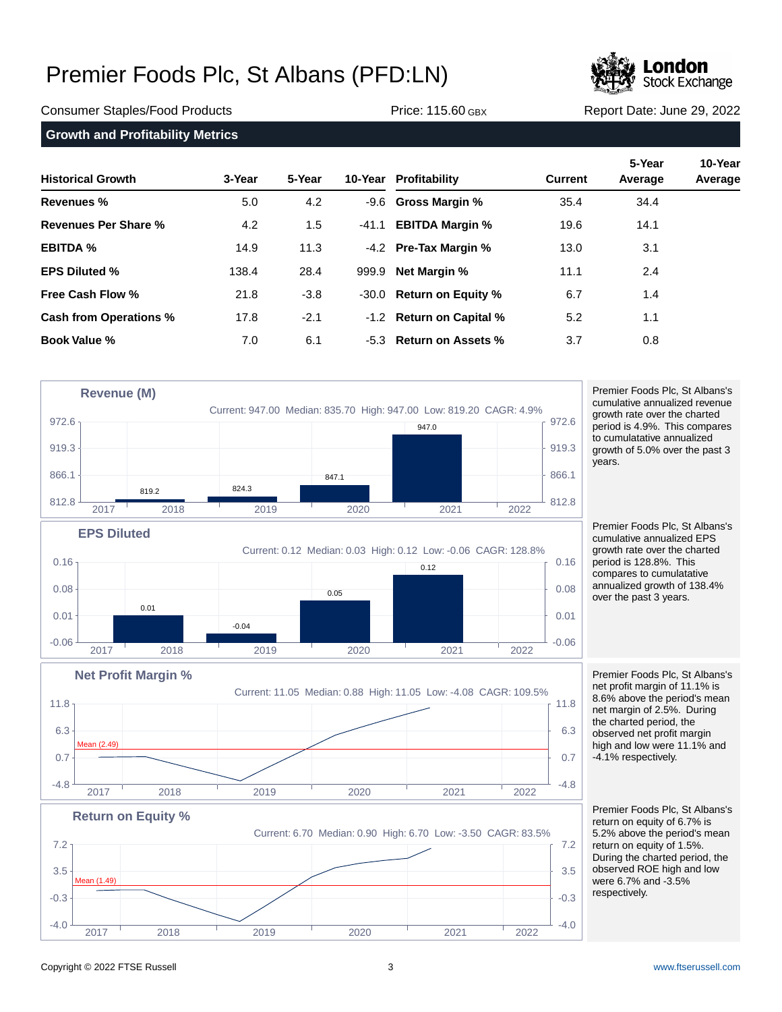

Consumer Staples/Food Products Price: 115.60 GBX Report Date: June 29, 2022

**Growth and Profitability Metrics**

| <b>Historical Growth</b> | 3-Year | 5-Year |         | 10-Year Profitability    | <b>Current</b> | 5-Year<br>Average | 10-Year<br>Average |
|--------------------------|--------|--------|---------|--------------------------|----------------|-------------------|--------------------|
| Revenues %               | 5.0    | 4.2    |         | -9.6 Gross Margin %      | 35.4           | 34.4              |                    |
| Revenues Per Share %     | 4.2    | 1.5    | $-41.1$ | <b>EBITDA Margin %</b>   | 19.6           | 14.1              |                    |
| <b>EBITDA %</b>          | 14.9   | 11.3   |         | -4.2 Pre-Tax Margin %    | 13.0           | 3.1               |                    |
| <b>EPS Diluted %</b>     | 138.4  | 28.4   |         | 999.9 Net Margin %       | 11.1           | 2.4               |                    |
| Free Cash Flow %         | 21.8   | $-3.8$ |         | -30.0 Return on Equity % | 6.7            | 1.4               |                    |
| Cash from Operations %   | 17.8   | $-2.1$ |         | -1.2 Return on Capital % | 5.2            | 1.1               |                    |
| <b>Book Value %</b>      | 7.0    | 6.1    |         | -5.3 Return on Assets %  | 3.7            | 0.8               |                    |



years. Premier Foods Plc, St Albans's

Premier Foods Plc, St Albans's cumulative annualized revenue growth rate over the charted period is 4.9%. This compares to cumulatative annualized growth of 5.0% over the past 3

cumulative annualized EPS growth rate over the charted period is 128.8%. This compares to cumulatative annualized growth of 138.4% over the past 3 years.



 $-4.0$   $-64.0$   $-64.0$   $-64.0$   $-64.0$   $-64.0$  $-0.3$   $-0.3$  $3.5 +$   $3.5$  $7.2$   $7.2$ 2017 2018 2019 2020 2021 2022 an (1.49)

Premier Foods Plc, St Albans's net profit margin of 11.1% is 8.6% above the period's mean net margin of 2.5%. During the charted period, the observed net profit margin high and low were 11.1% and -4.1% respectively.

Premier Foods Plc, St Albans's return on equity of 6.7% is 5.2% above the period's mean return on equity of 1.5%. During the charted period, the observed ROE high and low were 6.7% and -3.5% respectively.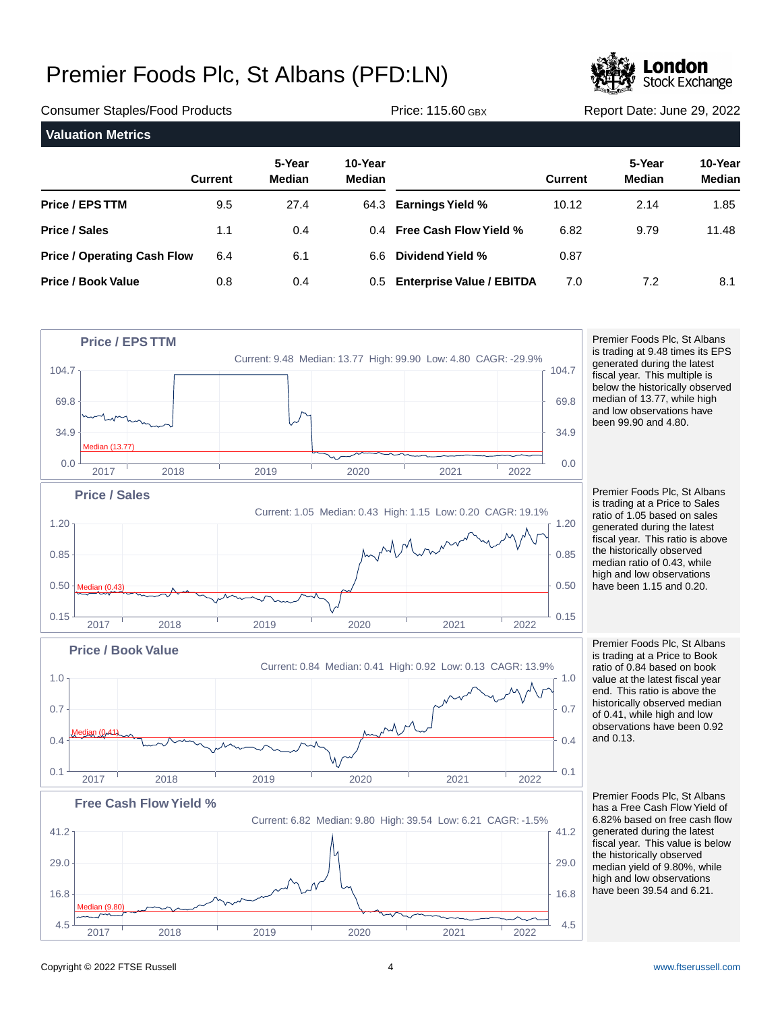

| <b>Consumer Staples/Food Products</b> |                |                         |                          | <b>Price: 115.60 GBX</b>      | Report Date: June 29, 2022 |                         |                          |
|---------------------------------------|----------------|-------------------------|--------------------------|-------------------------------|----------------------------|-------------------------|--------------------------|
| <b>Valuation Metrics</b>              |                |                         |                          |                               |                            |                         |                          |
|                                       | <b>Current</b> | 5-Year<br><b>Median</b> | 10-Year<br><b>Median</b> |                               | <b>Current</b>             | 5-Year<br><b>Median</b> | 10-Year<br><b>Median</b> |
| <b>Price / EPS TTM</b>                | 9.5            | 27.4                    |                          | 64.3 Earnings Yield %         | 10.12                      | 2.14                    | 1.85                     |
| <b>Price / Sales</b>                  | 1.1            | 0.4                     |                          | 0.4 Free Cash Flow Yield %    | 6.82                       | 9.79                    | 11.48                    |
| <b>Price / Operating Cash Flow</b>    | 6.4            | 6.1                     | 6.6                      | Dividend Yield %              | 0.87                       |                         |                          |
| <b>Price / Book Value</b>             | 0.8            | 0.4                     |                          | 0.5 Enterprise Value / EBITDA | 7.0                        | 7.2                     | 8.1                      |



Premier Foods Plc, St Albans is trading at 9.48 times its EPS generated during the latest fiscal year. This multiple is below the historically observed median of 13.77, while high and low observations have been 99.90 and 4.80.

Premier Foods Plc, St Albans is trading at a Price to Sales ratio of 1.05 based on sales generated during the latest fiscal year. This ratio is above the historically observed median ratio of 0.43, while high and low observations have been 1.15 and 0.20.

Premier Foods Plc, St Albans is trading at a Price to Book ratio of 0.84 based on book value at the latest fiscal year end. This ratio is above the historically observed median of 0.41, while high and low observations have been 0.92 and 0.13.

Premier Foods Plc, St Albans has a Free Cash Flow Yield of 6.82% based on free cash flow generated during the latest fiscal year. This value is below the historically observed median yield of 9.80%, while high and low observations have been 39.54 and 6.21.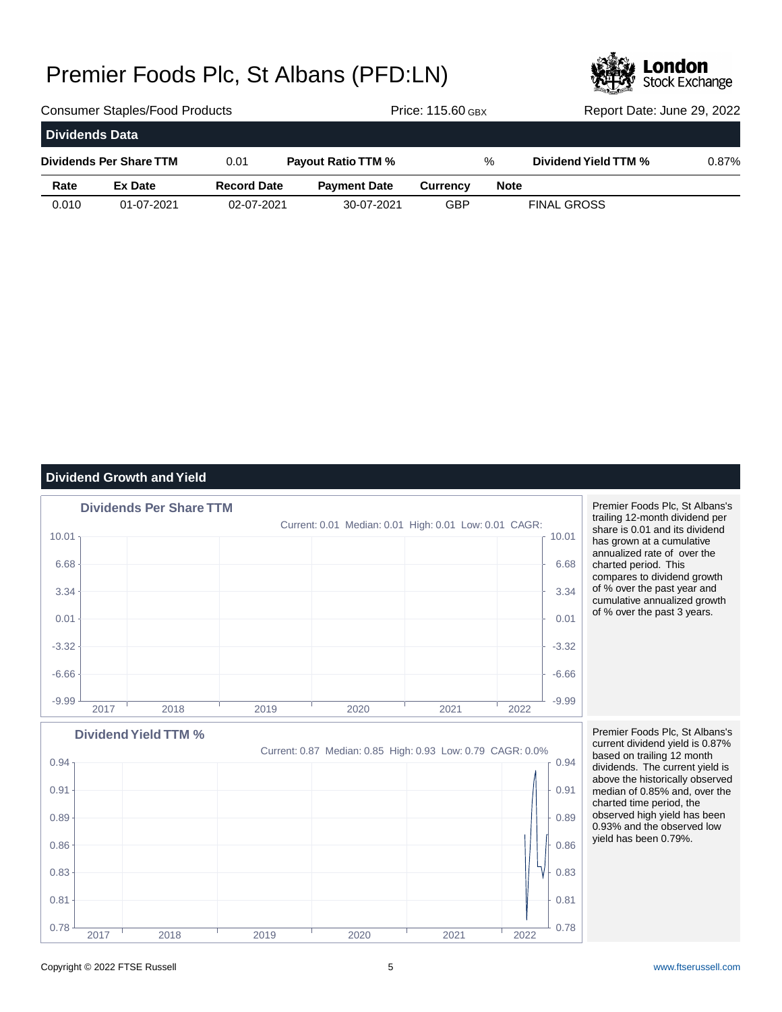

| <b>Consumer Staples/Food Products</b> |                |                    |                           |                     | <b>Price: 115.60 GBX</b> | Report Date: June 29, 2022 |                      |       |
|---------------------------------------|----------------|--------------------|---------------------------|---------------------|--------------------------|----------------------------|----------------------|-------|
| <b>Dividends Data</b>                 |                |                    |                           |                     |                          |                            |                      |       |
| Dividends Per Share TTM               |                | 0.01               | <b>Payout Ratio TTM %</b> |                     | $\%$                     |                            | Dividend Yield TTM % | 0.87% |
| Rate                                  | <b>Ex Date</b> | <b>Record Date</b> |                           | <b>Payment Date</b> | <b>Currency</b>          | <b>Note</b>                |                      |       |
| 0.010                                 | 01-07-2021     | 02-07-2021         |                           | 30-07-2021          | GBP                      |                            | <b>FINAL GROSS</b>   |       |

## **Dividend Growth and Yield**



Premier Foods Plc, St Albans's trailing 12-month dividend per share is 0.01 and its dividend has grown at a cumulative annualized rate of over the charted period. This compares to dividend growth of % over the past year and cumulative annualized growth of % over the past 3 years.



Premier Foods Plc, St Albans's current dividend yield is 0.87% based on trailing 12 month dividends. The current yield is above the historically observed median of 0.85% and, over the charted time period, the observed high yield has been 0.93% and the observed low yield has been 0.79%.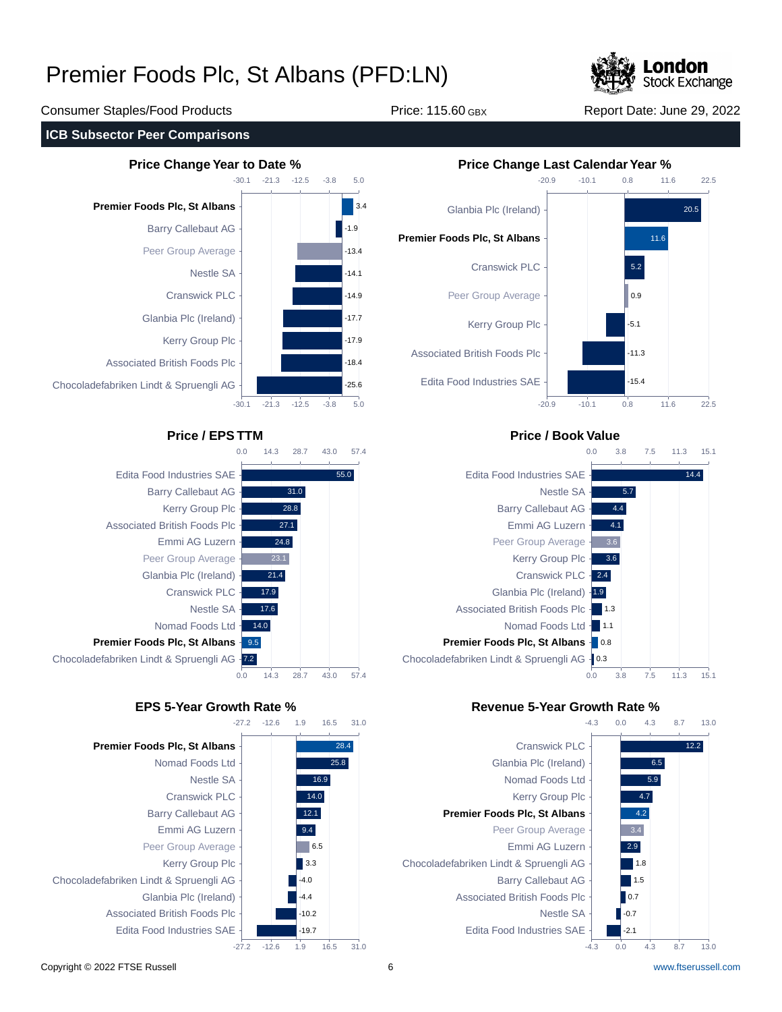

Consumer Staples/Food Products Price: 115.60 GBX Report Date: June 29, 2022

### **ICB Subsector Peer Comparisons**











## **Price / EPS TTM Price / Book Value**



### **EPS 5-Year Growth Rate % Revenue 5-Year Growth Rate %**

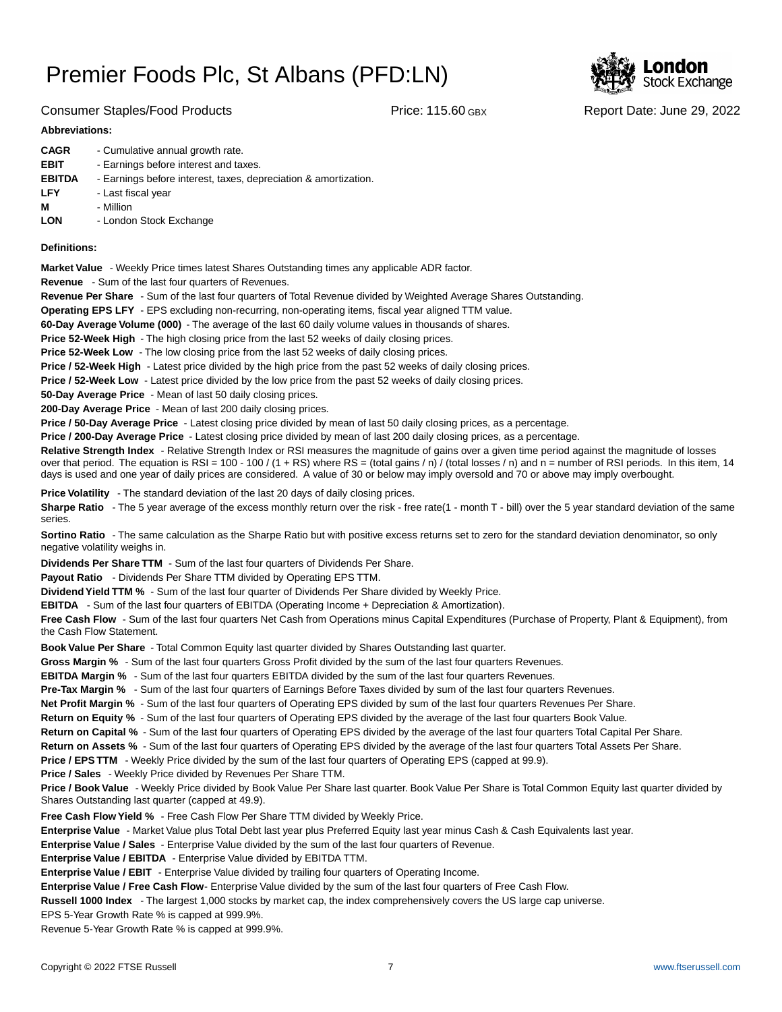

### Consumer Staples/Food Products Price: 115.60 GBX Report Date: June 29, 2022

### **Abbreviations:**

| <b>CAGR</b>   | - Cumulative annual growth rate.                                |
|---------------|-----------------------------------------------------------------|
| <b>EBIT</b>   | - Earnings before interest and taxes.                           |
| <b>EBITDA</b> | - Earnings before interest, taxes, depreciation & amortization. |
| LFY           | - Last fiscal year                                              |
| М             | - Million                                                       |
| <b>LON</b>    | - London Stock Exchange                                         |
|               |                                                                 |

### **Definitions:**

**Market Value** - Weekly Price times latest Shares Outstanding times any applicable ADR factor.

**Revenue** - Sum of the last four quarters of Revenues.

**Revenue Per Share** - Sum of the last four quarters of Total Revenue divided by Weighted Average Shares Outstanding.

**Operating EPS LFY** - EPS excluding non-recurring, non-operating items, fiscal year aligned TTM value.

60-Day Average Volume (000) - The average of the last 60 daily volume values in thousands of shares.

**Price 52-Week High** - The high closing price from the last 52 weeks of daily closing prices.

**Price 52-Week Low** - The low closing price from the last 52 weeks of daily closing prices.

**Price / 52-Week High** - Latest price divided by the high price from the past 52 weeks of daily closing prices.

**Price / 52-Week Low** - Latest price divided by the low price from the past 52 weeks of daily closing prices.

**50-Day Average Price** - Mean of last 50 daily closing prices.

**200-Day Average Price** - Mean of last 200 daily closing prices.

Price / 50-Day Average Price - Latest closing price divided by mean of last 50 daily closing prices, as a percentage.

**Price / 200-Day Average Price** - Latest closing price divided by mean of last 200 daily closing prices, as a percentage.

Relative Strength Index - Relative Strength Index or RSI measures the magnitude of gains over a given time period against the magnitude of losses over that period. The equation is RSI = 100 - 100 / (1 + RS) where RS = (total gains / n) / (total losses / n) and n = number of RSI periods. In this item, 14 days is used and one year of daily prices are considered. A value of 30 or below may imply oversold and 70 or above may imply overbought.

**Price Volatility** - The standard deviation of the last 20 days of daily closing prices.

Sharpe Ratio - The 5 year average of the excess monthly return over the risk - free rate(1 - month T - bill) over the 5 year standard deviation of the same series.

**Sortino Ratio** - The same calculation as the Sharpe Ratio but with positive excess returns set to zero for the standard deviation denominator, so only negative volatility weighs in.

**Dividends Per Share TTM** - Sum of the last four quarters of Dividends Per Share.

Payout Ratio - Dividends Per Share TTM divided by Operating EPS TTM.

**Dividend Yield TTM %** - Sum of the last four quarter of Dividends Per Share divided by Weekly Price.

**EBITDA** - Sum of the last four quarters of EBITDA (Operating Income + Depreciation & Amortization).

**Free Cash Flow** - Sum of the last four quarters Net Cash from Operations minus Capital Expenditures (Purchase of Property, Plant & Equipment), from the Cash Flow Statement.

**Book Value Per Share** - Total Common Equity last quarter divided by Shares Outstanding last quarter.

**Gross Margin %** - Sum of the last four quarters Gross Profit divided by the sum of the last four quarters Revenues.

**EBITDA Margin %** - Sum of the last four quarters EBITDA divided by the sum of the last four quarters Revenues.

**Pre-Tax Margin %** - Sum of the last four quarters of Earnings Before Taxes divided by sum of the last four quarters Revenues.

**Net Profit Margin %** - Sum of the last four quarters of Operating EPS divided by sum of the last four quarters Revenues Per Share.

**Return on Equity %** - Sum of the last four quarters of Operating EPS divided by the average of the last four quarters Book Value.

**Return on Capital %** - Sum of the last four quarters of Operating EPS divided by the average of the last four quarters Total Capital Per Share.

**Return on Assets %** - Sum of the last four quarters of Operating EPS divided by the average of the last four quarters Total Assets Per Share.

**Price / EPS TTM** - Weekly Price divided by the sum of the last four quarters of Operating EPS (capped at 99.9).

**Price / Sales** - Weekly Price divided by Revenues Per Share TTM.

**Price / Book Value** - Weekly Price divided by Book Value Per Share last quarter. Book Value Per Share is Total Common Equity last quarter divided by Shares Outstanding last quarter (capped at 49.9).

**Free Cash Flow Yield %** - Free Cash Flow Per Share TTM divided by Weekly Price.

Enterprise Value - Market Value plus Total Debt last year plus Preferred Equity last year minus Cash & Cash Equivalents last year.

**Enterprise Value / Sales** - Enterprise Value divided by the sum of the last four quarters of Revenue.

**Enterprise Value / EBITDA** - Enterprise Value divided by EBITDA TTM.

**Enterprise Value / EBIT** - Enterprise Value divided by trailing four quarters of Operating Income.

Enterprise Value / Free Cash Flow- Enterprise Value divided by the sum of the last four quarters of Free Cash Flow.

**Russell 1000 Index** - The largest 1,000 stocks by market cap, the index comprehensively covers the US large cap universe.

EPS 5-Year Growth Rate % is capped at 999.9%.

Revenue 5-Year Growth Rate % is capped at 999.9%.